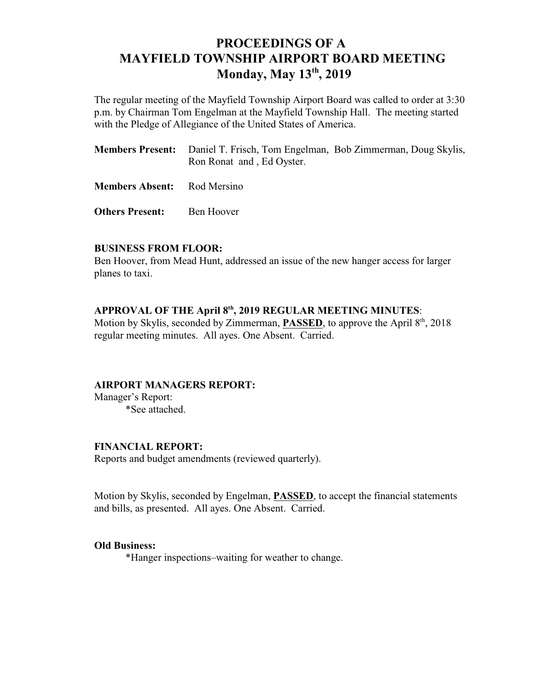# **PROCEEDINGS OF A MAYFIELD TOWNSHIP AIRPORT BOARD MEETING Monday, May 13<sup>th</sup>, 2019**

The regular meeting of the Mayfield Township Airport Board was called to order at 3:30 p.m. by Chairman Tom Engelman at the Mayfield Township Hall. The meeting started with the Pledge of Allegiance of the United States of America.

|                      | <b>Members Present:</b> Daniel T. Frisch, Tom Engelman, Bob Zimmerman, Doug Skylis,<br>Ron Ronat and, Ed Oyster. |  |
|----------------------|------------------------------------------------------------------------------------------------------------------|--|
| <b>TERM</b> 11 12 12 |                                                                                                                  |  |

**Members Absent:** Rod Mersino

**Others Present:** Ben Hoover

### **BUSINESS FROM FLOOR:**

Ben Hoover, from Mead Hunt, addressed an issue of the new hanger access for larger planes to taxi.

## APPROVAL OF THE April  $8<sup>th</sup>$ , 2019 REGULAR MEETING MINUTES:

Motion by Skylis, seconded by Zimmerman, **PASSED**, to approve the April 8<sup>th</sup>, 2018 regular meeting minutes. All ayes. One Absent. Carried.

### **AIRPORT MANAGERS REPORT:**

Manager's Report: \*See attached.

### **FINANCIAL REPORT:**

Reports and budget amendments (reviewed quarterly).

Motion by Skylis, seconded by Engelman, **PASSED**, to accept the financial statements and bills, as presented. All ayes. One Absent. Carried.

### **Old Business:**

\*Hanger inspections–waiting for weather to change.